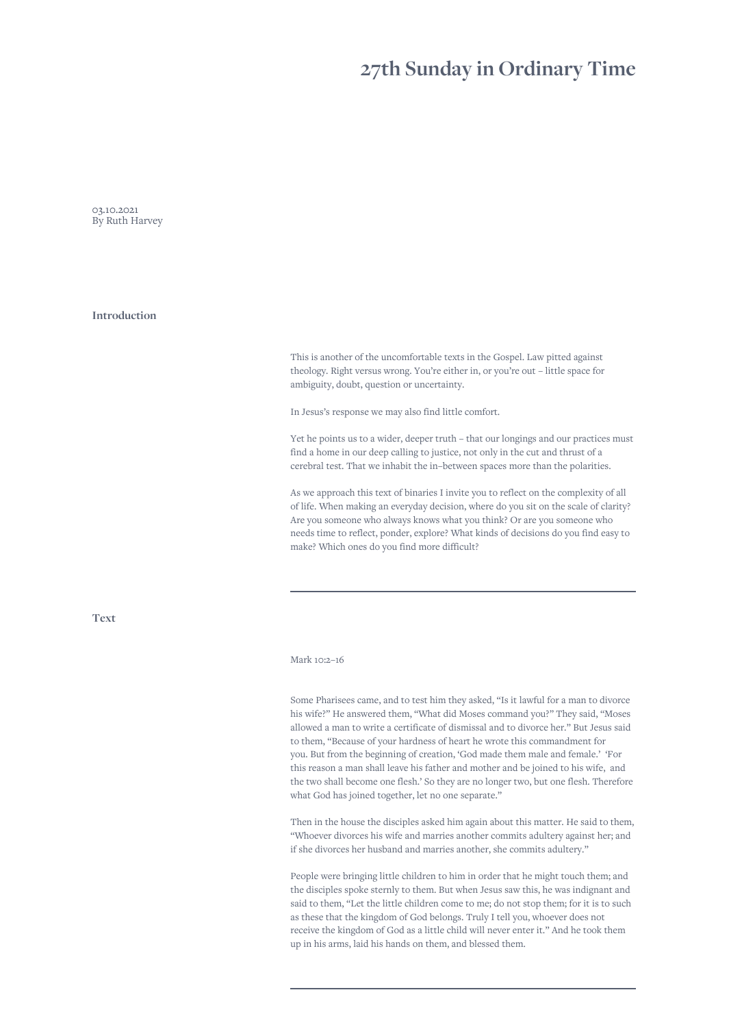# **27th Sunday in Ordinary Time**

03.10.2021 By Ruth Harvey

**Introduction**

This is another of the uncomfortable texts in the Gospel. Law pitted against theology. Right versus wrong. You're either in, or you're out – little space for ambiguity, doubt, question or uncertainty.

In Jesus's response we may also find little comfort.

Yet he points us to a wider, deeper truth – that our longings and our practices must find a home in our deep calling to justice, not only in the cut and thrust of a cerebral test. That we inhabit the in–between spaces more than the polarities.

As we approach this text of binaries I invite you to reflect on the complexity of all of life. When making an everyday decision, where do you sit on the scale of clarity? Are you someone who always knows what you think? Or are you someone who needs time to reflect, ponder, explore? What kinds of decisions do you find easy to make? Which ones do you find more difficult?

**Text**

## Mark 10:2–16

Some Pharisees came, and to test him they asked, "Is it lawful for a man to divorce his wife?" He answered them, "What did Moses command you?" They said, "Moses allowed a man to write a certificate of dismissal and to divorce her." But Jesus said to them, "Because of your hardness of heart he wrote this commandment for you. But from the beginning of creation, 'God made them male and female.' 'For this reason a man shall leave his father and mother and be joined to his wife, and the two shall become one flesh.' So they are no longer two, but one flesh. Therefore what God has joined together, let no one separate."

Then in the house the disciples asked him again about this matter. He said to them, "Whoever divorces his wife and marries another commits adultery against her; and if she divorces her husband and marries another, she commits adultery."

People were bringing little children to him in order that he might touch them; and the disciples spoke sternly to them. But when Jesus saw this, he was indignant and said to them, "Let the little children come to me; do not stop them; for it is to such as these that the kingdom of God belongs. Truly I tell you, whoever does not receive the kingdom of God as a little child will never enter it." And he took them up in his arms, laid his hands on them, and blessed them.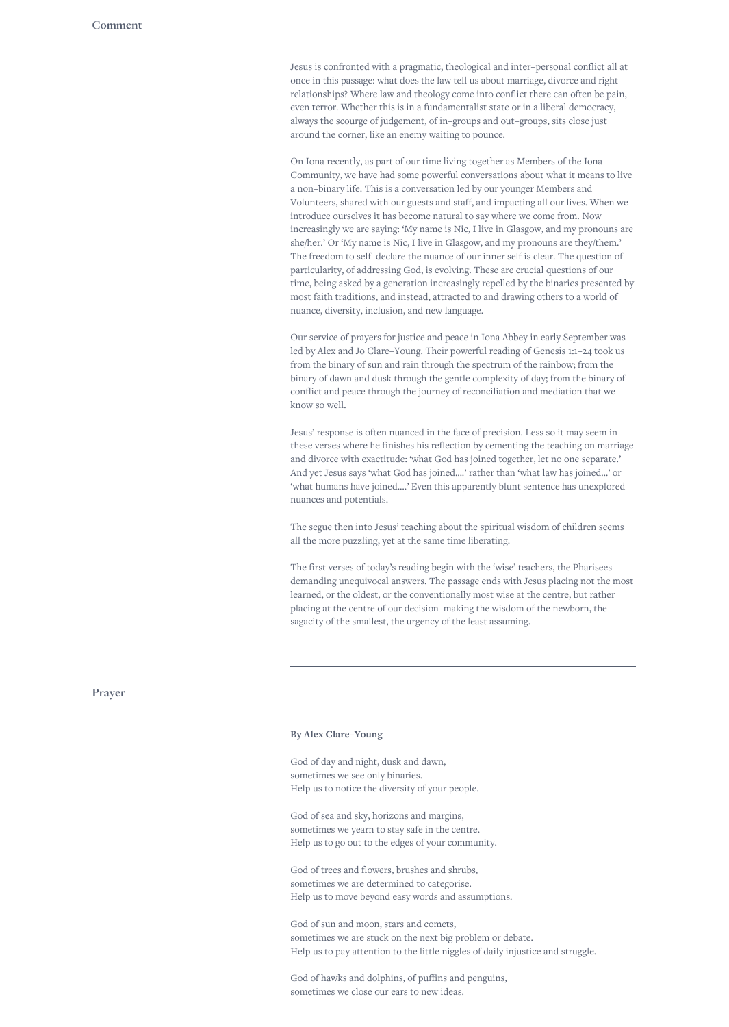Jesus is confronted with a pragmatic, theological and inter–personal conflict all at once in this passage: what does the law tell us about marriage, divorce and right relationships? Where law and theology come into conflict there can often be pain, even terror. Whether this is in a fundamentalist state or in a liberal democracy, always the scourge of judgement, of in–groups and out–groups, sits close just around the corner, like an enemy waiting to pounce.

On Iona recently, as part of our time living together as Members of the Iona Community, we have had some powerful conversations about what it means to live a non–binary life. This is a conversation led by our younger Members and Volunteers, shared with our guests and staff, and impacting all our lives. When we introduce ourselves it has become natural to say where we come from. Now increasingly we are saying: 'My name is Nic, I live in Glasgow, and my pronouns are she/her.' Or 'My name is Nic, I live in Glasgow, and my pronouns are they/them.' The freedom to self–declare the nuance of our inner self is clear. The question of particularity, of addressing God, is evolving. These are crucial questions of our time, being asked by a generation increasingly repelled by the binaries presented by most faith traditions, and instead, attracted to and drawing others to a world of nuance, diversity, inclusion, and new language.

Our service of prayers for justice and peace in Iona Abbey in early September was led by Alex and Jo Clare–Young. Their powerful reading of Genesis 1:1–24 took us from the binary of sun and rain through the spectrum of the rainbow; from the binary of dawn and dusk through the gentle complexity of day; from the binary of conflict and peace through the journey of reconciliation and mediation that we know so well.

Jesus' response is often nuanced in the face of precision. Less so it may seem in these verses where he finishes his reflection by cementing the teaching on marriage and divorce with exactitude: 'what God has joined together, let no one separate.' And yet Jesus says 'what God has joined….' rather than 'what law has joined…' or 'what humans have joined….' Even this apparently blunt sentence has unexplored nuances and potentials.

The segue then into Jesus' teaching about the spiritual wisdom of children seems all the more puzzling, yet at the same time liberating.

The first verses of today's reading begin with the 'wise' teachers, the Pharisees demanding unequivocal answers. The passage ends with Jesus placing not the most learned, or the oldest, or the conventionally most wise at the centre, but rather placing at the centre of our decision–making the wisdom of the newborn, the sagacity of the smallest, the urgency of the least assuming.

#### **Prayer**

### **By Alex Clare–Young**

God of day and night, dusk and dawn, sometimes we see only binaries. Help us to notice the diversity of your people.

God of sea and sky, horizons and margins, sometimes we yearn to stay safe in the centre. Help us to go out to the edges of your community.

God of trees and flowers, brushes and shrubs, sometimes we are determined to categorise. Help us to move beyond easy words and assumptions.

God of sun and moon, stars and comets, sometimes we are stuck on the next big problem or debate. Help us to pay attention to the little niggles of daily injustice and struggle.

God of hawks and dolphins, of puffins and penguins, sometimes we close our ears to new ideas.